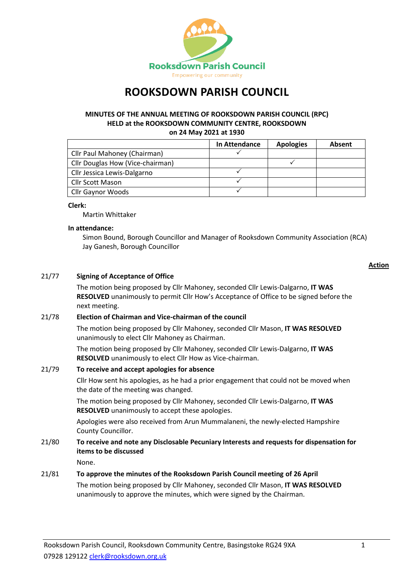

# **ROOKSDOWN PARISH COUNCIL**

## **MINUTES OF THE ANNUAL MEETING OF ROOKSDOWN PARISH COUNCIL (RPC) HELD at the ROOKSDOWN COMMUNITY CENTRE, ROOKSDOWN on 24 May 2021 at 1930**

|                                         | In Attendance | <b>Apologies</b> | Absent |
|-----------------------------------------|---------------|------------------|--------|
| Cllr Paul Mahoney (Chairman)            |               |                  |        |
| <b>Cllr Douglas How (Vice-chairman)</b> |               |                  |        |
| Cllr Jessica Lewis-Dalgarno             |               |                  |        |
| <b>Cllr Scott Mason</b>                 |               |                  |        |
| Cllr Gaynor Woods                       |               |                  |        |

#### **Clerk:**

Martin Whittaker

#### **In attendance:**

Simon Bound, Borough Councillor and Manager of Rooksdown Community Association (RCA) Jay Ganesh, Borough Councillor

#### **Action**

## 21/77 **Signing of Acceptance of Office**

The motion being proposed by Cllr Mahoney, seconded Cllr Lewis-Dalgarno, **IT WAS RESOLVED** unanimously to permit Cllr How's Acceptance of Office to be signed before the next meeting.

#### 21/78 **Election of Chairman and Vice-chairman of the council**

The motion being proposed by Cllr Mahoney, seconded Cllr Mason, **IT WAS RESOLVED** unanimously to elect Cllr Mahoney as Chairman.

The motion being proposed by Cllr Mahoney, seconded Cllr Lewis-Dalgarno, **IT WAS RESOLVED** unanimously to elect Cllr How as Vice-chairman.

#### 21/79 **To receive and accept apologies for absence**

Cllr How sent his apologies, as he had a prior engagement that could not be moved when the date of the meeting was changed.

The motion being proposed by Cllr Mahoney, seconded Cllr Lewis-Dalgarno, **IT WAS RESOLVED** unanimously to accept these apologies.

Apologies were also received from Arun Mummalaneni, the newly-elected Hampshire County Councillor.

# 21/80 **To receive and note any Disclosable Pecuniary Interests and requests for dispensation for items to be discussed**

None.

#### 21/81 **To approve the minutes of the Rooksdown Parish Council meeting of 26 April**

The motion being proposed by Cllr Mahoney, seconded Cllr Mason, **IT WAS RESOLVED** unanimously to approve the minutes, which were signed by the Chairman.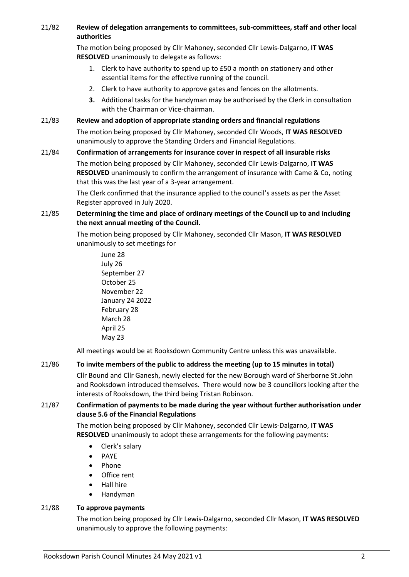## 21/82 **Review of delegation arrangements to committees, sub-committees, staff and other local authorities**

The motion being proposed by Cllr Mahoney, seconded Cllr Lewis-Dalgarno, **IT WAS RESOLVED** unanimously to delegate as follows:

- 1. Clerk to have authority to spend up to £50 a month on stationery and other essential items for the effective running of the council.
- 2. Clerk to have authority to approve gates and fences on the allotments.
- **3.** Additional tasks for the handyman may be authorised by the Clerk in consultation with the Chairman or Vice-chairman.

## 21/83 **Review and adoption of appropriate standing orders and financial regulations**

The motion being proposed by Cllr Mahoney, seconded Cllr Woods, **IT WAS RESOLVED** unanimously to approve the Standing Orders and Financial Regulations.

## 21/84 **Confirmation of arrangements for insurance cover in respect of all insurable risks**

The motion being proposed by Cllr Mahoney, seconded Cllr Lewis-Dalgarno, **IT WAS RESOLVED** unanimously to confirm the arrangement of insurance with Came & Co, noting that this was the last year of a 3-year arrangement.

The Clerk confirmed that the insurance applied to the council's assets as per the Asset Register approved in July 2020.

## 21/85 **Determining the time and place of ordinary meetings of the Council up to and including the next annual meeting of the Council.**

The motion being proposed by Cllr Mahoney, seconded Cllr Mason, **IT WAS RESOLVED** unanimously to set meetings for

June 28 July 26 September 27 October 25 November 22 January 24 2022 February 28 March 28 April 25 May 23

All meetings would be at Rooksdown Community Centre unless this was unavailable.

## 21/86 **To invite members of the public to address the meeting (up to 15 minutes in total)**

Cllr Bound and Cllr Ganesh, newly elected for the new Borough ward of Sherborne St John and Rooksdown introduced themselves. There would now be 3 councillors looking after the interests of Rooksdown, the third being Tristan Robinson.

## 21/87 **Confirmation of payments to be made during the year without further authorisation under clause 5.6 of the Financial Regulations**

The motion being proposed by Cllr Mahoney, seconded Cllr Lewis-Dalgarno, **IT WAS RESOLVED** unanimously to adopt these arrangements for the following payments:

- Clerk's salary
- PAYE
- Phone
- Office rent
- Hall hire
- Handyman

## 21/88 **To approve payments**

The motion being proposed by Cllr Lewis-Dalgarno, seconded Cllr Mason, **IT WAS RESOLVED** unanimously to approve the following payments: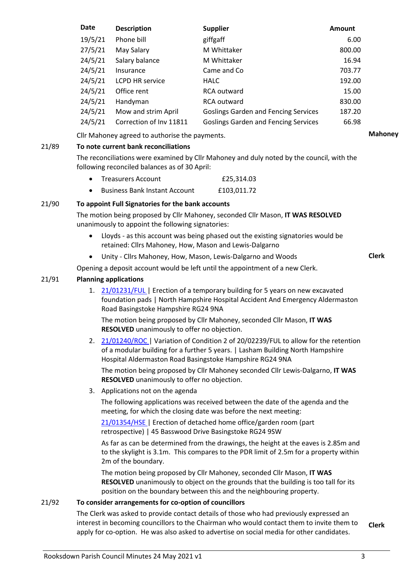| 19/5/21<br>giffgaff<br>Phone bill<br>6.00<br>27/5/21<br>M Whittaker<br>800.00<br>May Salary<br>24/5/21<br>Salary balance<br>M Whittaker<br>16.94<br>24/5/21<br>Came and Co<br>703.77<br>Insurance<br>24/5/21<br>192.00<br><b>LCPD HR service</b><br><b>HALC</b><br>24/5/21<br>Office rent<br>15.00<br>RCA outward<br>24/5/21<br>Handyman<br>830.00<br><b>RCA outward</b><br>24/5/21<br>Mow and strim April<br><b>Goslings Garden and Fencing Services</b><br>187.20<br>24/5/21<br>Correction of Inv 11811<br><b>Goslings Garden and Fencing Services</b><br>66.98 | Date | <b>Description</b> | <b>Supplier</b> | <b>Amount</b> |  |
|-------------------------------------------------------------------------------------------------------------------------------------------------------------------------------------------------------------------------------------------------------------------------------------------------------------------------------------------------------------------------------------------------------------------------------------------------------------------------------------------------------------------------------------------------------------------|------|--------------------|-----------------|---------------|--|
|                                                                                                                                                                                                                                                                                                                                                                                                                                                                                                                                                                   |      |                    |                 |               |  |
|                                                                                                                                                                                                                                                                                                                                                                                                                                                                                                                                                                   |      |                    |                 |               |  |
|                                                                                                                                                                                                                                                                                                                                                                                                                                                                                                                                                                   |      |                    |                 |               |  |
|                                                                                                                                                                                                                                                                                                                                                                                                                                                                                                                                                                   |      |                    |                 |               |  |
|                                                                                                                                                                                                                                                                                                                                                                                                                                                                                                                                                                   |      |                    |                 |               |  |
|                                                                                                                                                                                                                                                                                                                                                                                                                                                                                                                                                                   |      |                    |                 |               |  |
|                                                                                                                                                                                                                                                                                                                                                                                                                                                                                                                                                                   |      |                    |                 |               |  |
|                                                                                                                                                                                                                                                                                                                                                                                                                                                                                                                                                                   |      |                    |                 |               |  |
|                                                                                                                                                                                                                                                                                                                                                                                                                                                                                                                                                                   |      |                    |                 |               |  |

Cllr Mahoney agreed to authorise the payments. **Mahoney**

## 21/89 **To note current bank reconciliations**

The reconciliations were examined by Cllr Mahoney and duly noted by the council, with the following reconciled balances as of 30 April:

| <b>Treasurers Account</b> | £25,314.03 |
|---------------------------|------------|
|                           |            |

• Business Bank Instant Account £103,011.72

## 21/90 **To appoint Full Signatories for the bank accounts**

The motion being proposed by Cllr Mahoney, seconded Cllr Mason, **IT WAS RESOLVED** unanimously to appoint the following signatories:

- Lloyds as this account was being phased out the existing signatories would be retained: Cllrs Mahoney, How, Mason and Lewis-Dalgarno
- Unity Cllrs Mahoney, How, Mason, Lewis-Dalgarno and Woods

**Clerk**

Opening a deposit account would be left until the appointment of a new Clerk.

## 21/91 **Planning applications**

1. [21/01231/FUL](https://planning.basingstoke.gov.uk/online-applications/applicationDetails.do?activeTab=summary&keyVal=QR6XG1CRN4Z00) | Erection of a temporary building for 5 years on new excavated foundation pads | North Hampshire Hospital Accident And Emergency Aldermaston Road Basingstoke Hampshire RG24 9NA

The motion being proposed by Cllr Mahoney, seconded Cllr Mason, **IT WAS RESOLVED** unanimously to offer no objection.

2. [21/01240/ROC](https://planning.basingstoke.gov.uk/online-applications/applicationDetails.do?activeTab=documents&keyVal=QR75T3CRFFS00) | Variation of Condition 2 of 20/02239/FUL to allow for the retention of a modular building for a further 5 years. | Lasham Building North Hampshire Hospital Aldermaston Road Basingstoke Hampshire RG24 9NA

The motion being proposed by Cllr Mahoney seconded Cllr Lewis-Dalgarno, **IT WAS RESOLVED** unanimously to offer no objection.

3. Applications not on the agenda

The following applications was received between the date of the agenda and the meeting, for which the closing date was before the next meeting:

[21/01354/HSE](https://planning.basingstoke.gov.uk/online-applications/applicationDetails.do?activeTab=summary&keyVal=QRM5BOCRFUO00) | Erection of detached home office/garden room (part retrospective) | 45 Basswood Drive Basingstoke RG24 9SW

As far as can be determined from the drawings, the height at the eaves is 2.85m and to the skylight is 3.1m. This compares to the PDR limit of 2.5m for a property within 2m of the boundary.

The motion being proposed by Cllr Mahoney, seconded Cllr Mason, **IT WAS RESOLVED** unanimously to object on the grounds that the building is too tall for its position on the boundary between this and the neighbouring property.

## 21/92 **To consider arrangements for co-option of councillors**

The Clerk was asked to provide contact details of those who had previously expressed an interest in becoming councillors to the Chairman who would contact them to invite them to apply for co-option. He was also asked to advertise on social media for other candidates. **Clerk**